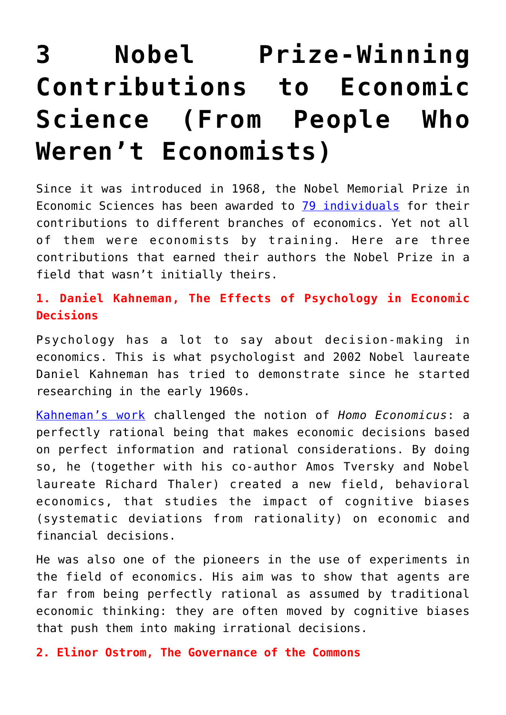## **[3 Nobel Prize-Winning](https://intellectualtakeout.org/2018/07/3-nobel-prize-winning-contributions-to-economic-science-from-people-who-werent-economists/) [Contributions to Economic](https://intellectualtakeout.org/2018/07/3-nobel-prize-winning-contributions-to-economic-science-from-people-who-werent-economists/) [Science \(From People Who](https://intellectualtakeout.org/2018/07/3-nobel-prize-winning-contributions-to-economic-science-from-people-who-werent-economists/) [Weren't Economists\)](https://intellectualtakeout.org/2018/07/3-nobel-prize-winning-contributions-to-economic-science-from-people-who-werent-economists/)**

Since it was introduced in 1968, the Nobel Memorial Prize in Economic Sciences has been awarded to [79 individuals](https://www.nobelprize.org/nobel_prizes/economic-sciences/laureates/) for their contributions to different branches of economics. Yet not all of them were economists by training. Here are three contributions that earned their authors the Nobel Prize in a field that wasn't initially theirs.

## **1. Daniel Kahneman, The Effects of Psychology in Economic Decisions**

Psychology has a lot to say about decision-making in economics. This is what psychologist and 2002 Nobel laureate Daniel Kahneman has tried to demonstrate since he started researching in the early 1960s.

[Kahneman's work](https://www.amazon.com/Thinking-Fast-Slow-Daniel-Kahneman/dp/0374533555/ref=sr_1_2?ie=UTF8&qid=1532157322&sr=8-2&keywords=thinking+fast+and+slow+by+daniel+kahneman&dpID=41RtytNpsfL&preST=_SY344_BO1,204,203,200_QL70_&dpSrc=srch) challenged the notion of *Homo Economicus*: a perfectly rational being that makes economic decisions based on perfect information and rational considerations. By doing so, he (together with his co-author Amos Tversky and Nobel laureate Richard Thaler) created a new field, behavioral economics, that studies the impact of cognitive biases (systematic deviations from rationality) on economic and financial decisions.

He was also one of the pioneers in the use of experiments in the field of economics. His aim was to show that agents are far from being perfectly rational as assumed by traditional economic thinking: they are often moved by cognitive biases that push them into making irrational decisions.

**2. Elinor Ostrom, The Governance of the Commons**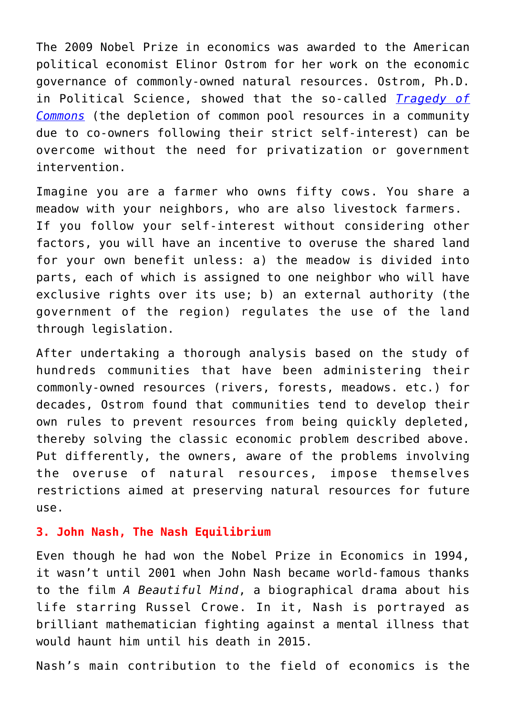The 2009 Nobel Prize in economics was awarded to the American political economist Elinor Ostrom for her work on the economic governance of commonly-owned natural resources. Ostrom, Ph.D. in Political Science, showed that the so-called *[Tragedy of](https://www.investopedia.com/terms/t/tragedy-of-the-commons.asp) [Commons](https://www.investopedia.com/terms/t/tragedy-of-the-commons.asp)* (the depletion of common pool resources in a community due to co-owners following their strict self-interest) can be overcome without the need for privatization or government intervention.

Imagine you are a farmer who owns fifty cows. You share a meadow with your neighbors, who are also livestock farmers. If you follow your self-interest without considering other factors, you will have an incentive to overuse the shared land for your own benefit unless: a) the meadow is divided into parts, each of which is assigned to one neighbor who will have exclusive rights over its use; b) an external authority (the government of the region) regulates the use of the land through legislation.

After undertaking a thorough analysis based on the study of hundreds communities that have been administering their commonly-owned resources (rivers, forests, meadows. etc.) for decades, Ostrom found that communities tend to develop their own rules to prevent resources from being quickly depleted, thereby solving the classic economic problem described above. Put differently, the owners, aware of the problems involving the overuse of natural resources, impose themselves restrictions aimed at preserving natural resources for future use.

## **3. John Nash, The Nash Equilibrium**

Even though he had won the Nobel Prize in Economics in 1994, it wasn't until 2001 when John Nash became world-famous thanks to the film *A Beautiful Mind*, a biographical drama about his life starring Russel Crowe. In it, Nash is portrayed as brilliant mathematician fighting against a mental illness that would haunt him until his death in 2015.

Nash's main contribution to the field of economics is the